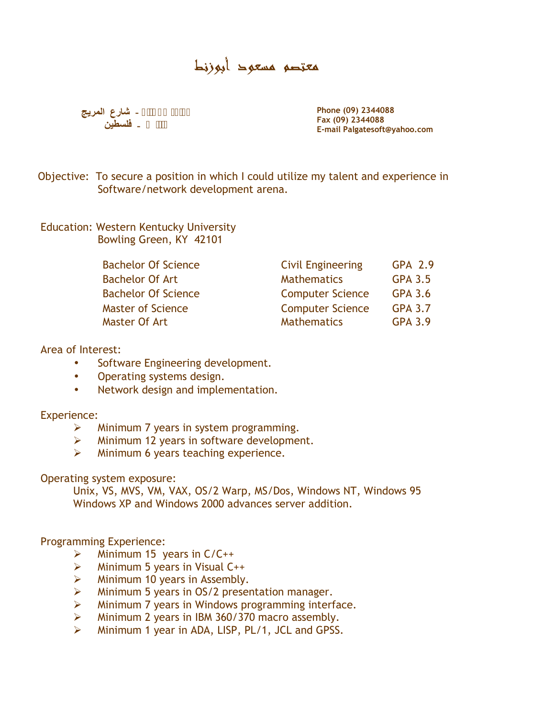# معتصم مسعود أبوزنط



**2344088 (09) PhoneFax (09) 2344088 E-mail Palgatesoft@yahoo.com**

Objective: To secure a position in which I could utilize my talent and experience in Software/network development arena.

Education: Western Kentucky University Bowling Green, KY 42101

| <b>Bachelor Of Science</b> | <b>Civil Engineering</b> | GPA 2.9        |  |
|----------------------------|--------------------------|----------------|--|
| <b>Bachelor Of Art</b>     | <b>Mathematics</b>       | GPA 3.5        |  |
| <b>Bachelor Of Science</b> | <b>Computer Science</b>  | GPA 3.6        |  |
| Master of Science          | <b>Computer Science</b>  | <b>GPA 3.7</b> |  |
| Master Of Art              | <b>Mathematics</b>       | GPA 3.9        |  |

#### Area of Interest:

- Software Engineering development.
- Operating systems design.
- Network design and implementation.

## Experience:

- Minimum 7 years in system programming.
- > Minimum 12 years in software development.
- $\triangleright$  Minimum 6 years teaching experience.

## Operating system exposure:

Unix, VS, MVS, VM, VAX, OS/2 Warp, MS/Dos, Windows NT, Windows 95 Windows XP and Windows 2000 advances server addition.

## Programming Experience:

- $\triangleright$  Minimum 15 years in C/C++
- $\triangleright$  Minimum 5 years in Visual C++
- $\triangleright$  Minimum 10 years in Assembly.
- $\triangleright$  Minimum 5 years in OS/2 presentation manager.
- $\triangleright$  Minimum 7 years in Windows programming interface.
- $\triangleright$  Minimum 2 years in IBM 360/370 macro assembly.
- $\triangleright$  Minimum 1 year in ADA, LISP, PL/1, JCL and GPSS.